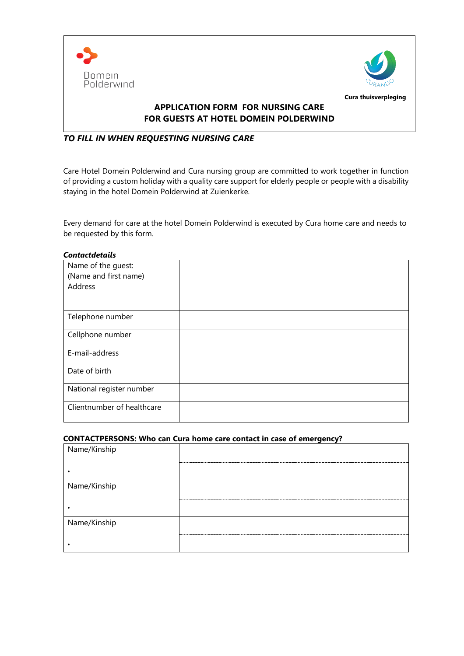



## **APPLICATION FORM FOR NURSING CARE FOR GUESTS AT HOTEL DOMEIN POLDERWIND**

# *TO FILL IN WHEN REQUESTING NURSING CARE*

Care Hotel Domein Polderwind and Cura nursing group are committed to work together in function of providing a custom holiday with a quality care support for elderly people or people with a disability staying in the hotel Domein Polderwind at Zuienkerke.

Every demand for care at the hotel Domein Polderwind is executed by Cura home care and needs to be requested by this form.

| <b>Contactdetails</b>      |  |
|----------------------------|--|
| Name of the guest:         |  |
| (Name and first name)      |  |
| Address                    |  |
| Telephone number           |  |
| Cellphone number           |  |
| E-mail-address             |  |
| Date of birth              |  |
| National register number   |  |
| Clientnumber of healthcare |  |

### **CONTACTPERSONS: Who can Cura home care contact in case of emergency?**

| Name/Kinship |                 |
|--------------|-----------------|
|              |                 |
| Name/Kinship |                 |
|              |                 |
| Name/Kinship |                 |
|              | --------------- |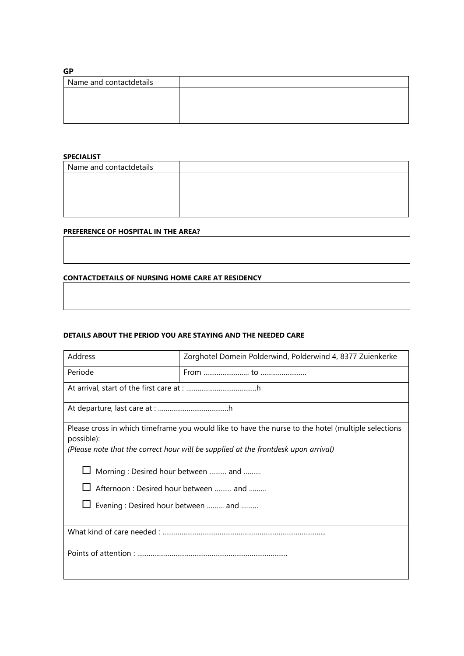### **GP**

| Name and contactdetails |  |
|-------------------------|--|
|                         |  |
|                         |  |
|                         |  |
|                         |  |

#### **SPECIALIST**

| Name and contactdetails |  |
|-------------------------|--|
|                         |  |
|                         |  |
|                         |  |
|                         |  |

## **PREFERENCE OF HOSPITAL IN THE AREA?**

#### **CONTACTDETAILS OF NURSING HOME CARE AT RESIDENCY**

#### **DETAILS ABOUT THE PERIOD YOU ARE STAYING AND THE NEEDED CARE**

| Address                                                                                                                                                                                                                                                                                                                    | Zorghotel Domein Polderwind, Polderwind 4, 8377 Zuienkerke                                                                                                                                                                                                                                     |  |
|----------------------------------------------------------------------------------------------------------------------------------------------------------------------------------------------------------------------------------------------------------------------------------------------------------------------------|------------------------------------------------------------------------------------------------------------------------------------------------------------------------------------------------------------------------------------------------------------------------------------------------|--|
| Periode                                                                                                                                                                                                                                                                                                                    | From $\frac{1}{2}$ fo $\frac{1}{2}$ fo $\frac{1}{2}$ for $\frac{1}{2}$ for $\frac{1}{2}$ for $\frac{1}{2}$ for $\frac{1}{2}$ for $\frac{1}{2}$ for $\frac{1}{2}$ for $\frac{1}{2}$ for $\frac{1}{2}$ for $\frac{1}{2}$ for $\frac{1}{2}$ for $\frac{1}{2}$ for $\frac{1}{2}$ for $\frac{1}{2}$ |  |
|                                                                                                                                                                                                                                                                                                                            |                                                                                                                                                                                                                                                                                                |  |
|                                                                                                                                                                                                                                                                                                                            |                                                                                                                                                                                                                                                                                                |  |
| Please cross in which timeframe you would like to have the nurse to the hotel (multiple selections<br>possible):<br>(Please note that the correct hour will be supplied at the frontdesk upon arrival)<br>Morning: Desired hour between  and<br>Afternoon: Desired hour between  and<br>Evening: Desired hour between  and |                                                                                                                                                                                                                                                                                                |  |
|                                                                                                                                                                                                                                                                                                                            |                                                                                                                                                                                                                                                                                                |  |
|                                                                                                                                                                                                                                                                                                                            |                                                                                                                                                                                                                                                                                                |  |